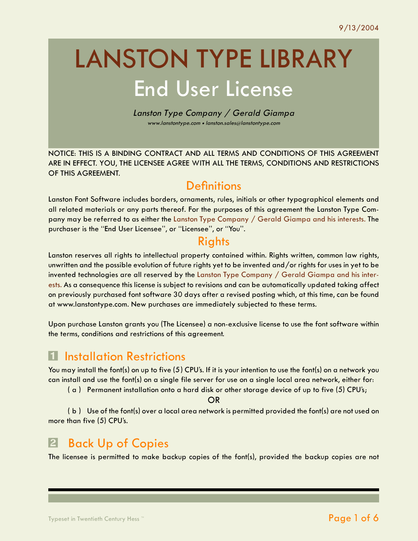# LANSTON TYPE LIBRARY End User License

Lanston Type Company / Gerald Giampa www.lanstontype.com • lanston.sales@lanstontype.com

NOTICE: THIS IS A BINDING CONTRACT AND ALL TERMS AND CONDITIONS OF THIS AGREEMENT ARE IN EFFECT. YOU, THE LICENSEE AGREE WITH ALL THE TERMS, CONDITIONS AND RESTRICTIONS OF THIS AGREEMENT.

## **Definitions**

Lanston Font Software includes borders, ornaments, rules, initials or other typographical elements and all related materials or any parts thereof. For the purposes of this agreement the Lanston Type Company may be referred to as either the Lanston Type Company / Gerald Giampa and his interests. The purchaser is the "End User Licensee", or "Licensee", or "You".

#### **Rights**

Lanston reserves all rights to intellectual property contained within. Rights written, common law rights, unwritten and the possible evolution of future rights yet to be invented and/or rights for uses in yet to be invented technologies are all reserved by the Lanston Type Company / Gerald Giampa and his interests. As a consequence this license is subject to revisions and can be automatically updated taking affect on previously purchased font software 30 days after a revised posting which, at this time, can be found at www.lanstontype.com. New purchases are immediately subjected to these terms.

Upon purchase Lanston grants you (The Licensee) a non-exclusive license to use the font software within the terms, conditions and restrictions of this agreement.

## **T** Installation Restrictions

You may install the font(s) on up to five (5) CPU's. If it is your intention to use the font(s) on a network you can install and use the font(s) on a single file server for use on a single local area network, either for:

 $(a)$  Permanent installation onto a hard disk or other storage device of up to five (5) CPU's;

OR

( b ) Use of the font(s) over a local area network is permitted provided the font(s) are not used on more than five (5) CPU's.

# Back Up of Copies

The licensee is permitted to make backup copies of the font(s), provided the backup copies are not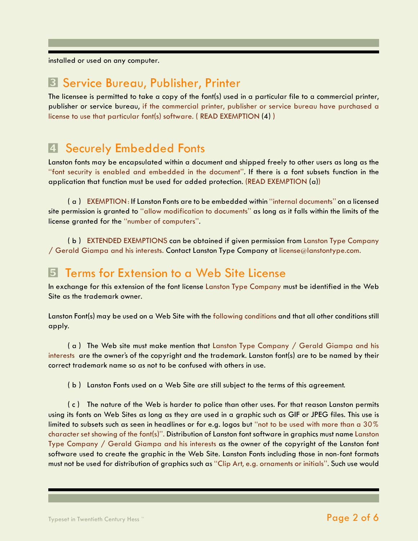installed or used on any computer.

#### **3 Service Bureau, Publisher, Printer**

The licensee is permitted to take a copy of the font(s) used in a particular file to a commercial printer, publisher or service bureau, if the commercial printer, publisher or service bureau have purchased a license to use that particular font(s) software. ( READ EXEMPTION (4) )

## **4 Securely Embedded Fonts**

Lanston fonts may be encapsulated within a document and shipped freely to other users as long as the "font security is enabled and embedded in the document". If there is a font subsets function in the application that function must be used for added protection. (READ EXEMPTION (a))

( a ) EXEMPTION: If Lanston Fonts are to be embedded within "internal documents" on a licensed site permission is granted to "allow modification to documents" as long as it falls within the limits of the license granted for the "number of computers".

( b ) EXTENDED EXEMPTIONS can be obtained if given permission from Lanston Type Company / Gerald Giampa and his interests. Contact Lanston Type Company at license@lanstontype.com.

#### **5** Terms for Extension to a Web Site License

In exchange for this extension of the font license Lanston Type Company must be identified in the Web Site as the trademark owner.

Lanston Font(s) may be used on a Web Site with the following conditions and that all other conditions still apply.

( a ) The Web site must make mention that Lanston Type Company / Gerald Giampa and his interests are the owner's of the copyright and the trademark. Lanston font(s) are to be named by their correct trademark name so as not to be confused with others in use.

( b ) Lanston Fonts used on a Web Site are still subject to the terms of this agreement.

( c ) The nature of the Web is harder to police than other uses. For that reason Lanston permits using its fonts on Web Sites as long as they are used in a graphic such as GIF or JPEG files. This use is limited to subsets such as seen in headlines or for e.g. logos but "not to be used with more than a 30% character set showing of the font(s)". Distribution of Lanston font software in graphics must name Lanston Type Company / Gerald Giampa and his interests as the owner of the copyright of the Lanston font software used to create the graphic in the Web Site. Lanston Fonts including those in non-font formats must not be used for distribution of graphics such as "Clip Art, e.g. ornaments or initials". Such use would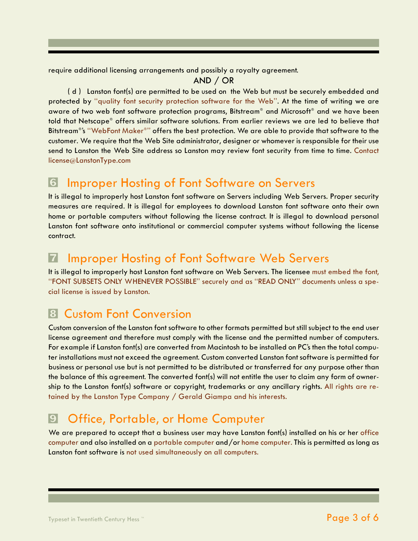require additional licensing arrangements and possibly a royalty agreement.

AND / OR

( d ) Lanston font(s) are permitted to be used on the Web but must be securely embedded and protected by "quality font security protection software for the Web". At the time of writing we are aware of two web font software protection programs, Bitstream® and Microsoft® and we have been told that Netscape® offers similar software solutions. From earlier reviews we are led to believe that Bitstream®'s "WebFont Maker®" offers the best protection. We are able to provide that software to the customer. We require that the Web Site administrator, designer or whomever is responsible for their use send to Lanston the Web Site address so Lanston may review font security from time to time. Contact license@LanstonType.com

# § Improper Hosting of Font Software on Servers

It is illegal to improperly host Lanston font software on Servers including Web Servers. Proper security measures are required. It is illegal for employees to download Lanston font software onto their own home or portable computers without following the license contract. It is illegal to download personal Lanston font software onto institutional or commercial computer systems without following the license contract.

# **Z** Improper Hosting of Font Software Web Servers

It is illegal to improperly host Lanston font software on Web Servers. The licensee must embed the font, "FONT SUBSETS ONLY WHENEVER POSSIBLE" securely and as "READ ONLY" documents unless a special license is issued by Lanston.

# **8 Custom Font Conversion**

Custom conversion of the Lanston font software to other formats permitted but still subject to the end user license agreement and therefore must comply with the license and the permitted number of computers. For example if Lanston font(s) are converted from Macintosh to be installed on PC's then the total computer installations must not exceed the agreement. Custom converted Lanston font software is permitted for business or personal use but is not permitted to be distributed or transferred for any purpose other than the balance of this agreement. The converted font(s) will not entitle the user to claim any form of ownership to the Lanston font(s) software or copyright, trademarks or any ancillary rights. All rights are retained by the Lanston Type Company / Gerald Giampa and his interests.

# **<sup>9</sup>** Office, Portable, or Home Computer

We are prepared to accept that a business user may have Lanston font(s) installed on his or her office computer and also installed on a portable computer and/or home computer. This is permitted as long as Lanston font software is not used simultaneously on all computers.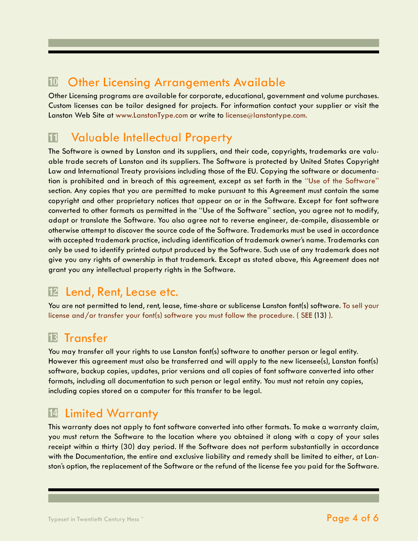## <sup>10</sup> Other Licensing Arrangements Available

Other Licensing programs are available for corporate, educational, government and volume purchases. Custom licenses can be tailor designed for projects. For information contact your supplier or visit the Lanston Web Site at www.LanstonType.com or write to license@lanstontype.com.

## **11 Valuable Intellectual Property**

The Software is owned by Lanston and its suppliers, and their code, copyrights, trademarks are valuable trade secrets of Lanston and its suppliers. The Software is protected by United States Copyright Law and International Treaty provisions including those of the EU. Copying the software or documentation is prohibited and in breach of this agreement, except as set forth in the "Use of the Software" section. Any copies that you are permitted to make pursuant to this Agreement must contain the same copyright and other proprietary notices that appear on or in the Software. Except for font software converted to other formats as permitted in the "Use of the Software" section, you agree not to modify, adapt or translate the Software. You also agree not to reverse engineer, de-compile, disassemble or otherwise attempt to discover the source code of the Software. Trademarks must be used in accordance with accepted trademark practice, including identification of trademark owner's name. Trademarks can only be used to identify printed output produced by the Software. Such use of any trademark does not give you any rights of ownership in that trademark. Except as stated above, this Agreement does not grant you any intellectual property rights in the Software.

# <sup>12</sup> Lend, Rent, Lease etc.

You are not permitted to lend, rent, lease, time-share or sublicense Lanston font(s) software. To sell your license and/or transfer your font(s) software you must follow the procedure. ( SEE (13) ).

## <sup>13</sup> Transfer

You may transfer all your rights to use Lanston font(s) software to another person or legal entity. However this agreement must also be transferred and will apply to the new licensee(s), Lanston font(s) software, backup copies, updates, prior versions and all copies of font software converted into other formats, including all documentation to such person or legal entity. You must not retain any copies, including copies stored on a computer for this transfer to be legal.

# <sup>14</sup> Limited Warranty

This warranty does not apply to font software converted into other formats. To make a warranty claim, you must return the Software to the location where you obtained it along with a copy of your sales receipt within a thirty (30) day period. If the Software does not perform substantially in accordance with the Documentation, the entire and exclusive liability and remedy shall be limited to either, at Lanston's option, the replacement of the Software or the refund of the license fee you paid for the Software.